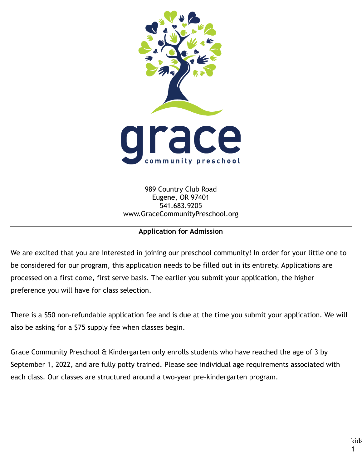

989 Country Club Road Eugene, OR 97401 541.683.9205 www.GraceCommunityPreschool.org

#### **Application for Admission**

We are excited that you are interested in joining our preschool community! In order for your little one to be considered for our program, this application needs to be filled out in its entirety. Applications are processed on a first come, first serve basis. The earlier you submit your application, the higher preference you will have for class selection.

There is a \$50 non-refundable application fee and is due at the time you submit your application. We will also be asking for a \$75 supply fee when classes begin.

Grace Community Preschool & Kindergarten only enrolls students who have reached the age of 3 by September 1, 2022, and are fully potty trained. Please see individual age requirements associated with each class. Our classes are structured around a two-year pre-kindergarten program.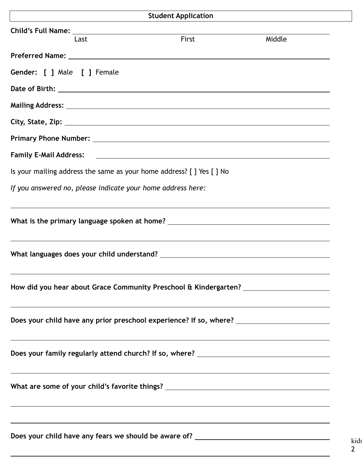|                                                                                                                                                                                                             | <b>Student Application</b> |        |  |
|-------------------------------------------------------------------------------------------------------------------------------------------------------------------------------------------------------------|----------------------------|--------|--|
| Last                                                                                                                                                                                                        | First                      | Middle |  |
|                                                                                                                                                                                                             |                            |        |  |
| <b>Gender:</b> [ ] Male [ ] Female                                                                                                                                                                          |                            |        |  |
|                                                                                                                                                                                                             |                            |        |  |
|                                                                                                                                                                                                             |                            |        |  |
|                                                                                                                                                                                                             |                            |        |  |
| Primary Phone Number: National Contract of the Contract of the Contract of the Contract of the Contract of the                                                                                              |                            |        |  |
|                                                                                                                                                                                                             |                            |        |  |
| Is your mailing address the same as your home address? [ ] Yes [ ] No                                                                                                                                       |                            |        |  |
| If you answered no, please indicate your home address here:                                                                                                                                                 |                            |        |  |
| ,我们也不会有什么?""我们的人,我们也不会有什么?""我们的人,我们也不会有什么?""我们的人,我们也不会有什么?""我们的人,我们也不会有什么?""我们的人                                                                                                                            |                            |        |  |
| What is the primary language spoken at home? ___________________________________                                                                                                                            |                            |        |  |
|                                                                                                                                                                                                             |                            |        |  |
|                                                                                                                                                                                                             |                            |        |  |
|                                                                                                                                                                                                             |                            |        |  |
| How did you hear about Grace Community Preschool & Kindergarten? ________________                                                                                                                           |                            |        |  |
| <u> 1989 - Andrea Santa Alemania, amerikana amerikana amerikana amerikana amerikana amerikana amerikana amerikan</u>                                                                                        |                            |        |  |
| Does your child have any prior preschool experience? If so, where? _________________________________                                                                                                        |                            |        |  |
| ,我们也不能会有一个人的事情。""我们的人们是不是我们的人,我们也不能会有一个人的人,我们也不能会有一个人的人,我们也不能会有一个人的人,我们也不能会有一个人的                                                                                                                            |                            |        |  |
|                                                                                                                                                                                                             |                            |        |  |
| <u> 1989 - Johann Stoff, amerikansk politiker (d. 1989)</u>                                                                                                                                                 |                            |        |  |
| What are some of your child's favorite things? __________________________________                                                                                                                           |                            |        |  |
|                                                                                                                                                                                                             |                            |        |  |
| <u> 1989 - Andrea Santana, amerikana amerikana amerikana amerikana amerikana amerikana amerikana amerikana amerika</u><br>Does your child have any fears we should be aware of? ___________________________ |                            |        |  |
|                                                                                                                                                                                                             |                            |        |  |
|                                                                                                                                                                                                             |                            |        |  |

kids 2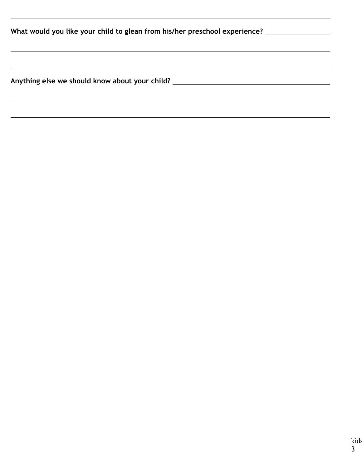| What would you like your child to glean from his/her preschool experience? |  |  |  |  |
|----------------------------------------------------------------------------|--|--|--|--|
|                                                                            |  |  |  |  |
| Anything else we should know about your child?                             |  |  |  |  |
|                                                                            |  |  |  |  |

 $\overline{a}$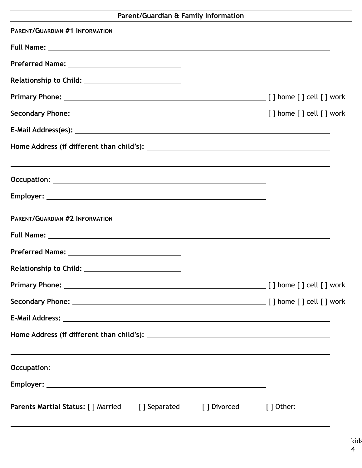# **Parent/Guardian & Family Information**

| <b>PARENT/GUARDIAN #1 INFORMATION</b>                                                 |  |                                         |
|---------------------------------------------------------------------------------------|--|-----------------------------------------|
|                                                                                       |  |                                         |
|                                                                                       |  |                                         |
|                                                                                       |  |                                         |
|                                                                                       |  |                                         |
|                                                                                       |  |                                         |
|                                                                                       |  |                                         |
|                                                                                       |  |                                         |
| ,我们也不会有什么。""我们的人,我们也不会有什么?""我们的人,我们也不会有什么?""我们的人,我们也不会有什么?""我们的人,我们也不会有什么?""我们的人      |  |                                         |
|                                                                                       |  |                                         |
| <b>PARENT/GUARDIAN #2 INFORMATION</b>                                                 |  |                                         |
|                                                                                       |  |                                         |
|                                                                                       |  |                                         |
|                                                                                       |  |                                         |
| <b>Primary Phone:</b>                                                                 |  | ____________ [ ] home [ ] cell [ ] work |
|                                                                                       |  |                                         |
|                                                                                       |  |                                         |
|                                                                                       |  |                                         |
| ,我们也不会有什么。""我们的人,我们也不会有什么?""我们的人,我们也不会有什么?""我们的人,我们也不会有什么?""我们的人,我们也不会有什么?""我们的人      |  |                                         |
|                                                                                       |  |                                         |
| <b>Parents Martial Status:</b> [] Married [] Separated [] Divorced [] Other: ________ |  |                                         |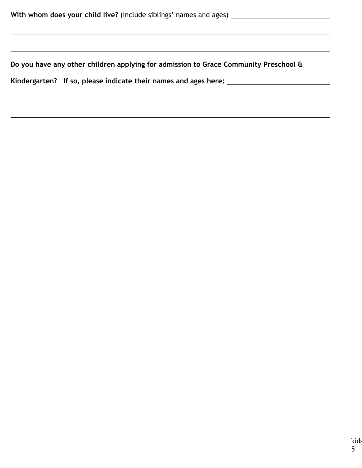$\overline{a}$ 

 $\overline{a}$ 

 $\overline{a}$ 

**Do you have any other children applying for admission to Grace Community Preschool &** 

**Kindergarten? If so, please indicate their names and ages here:**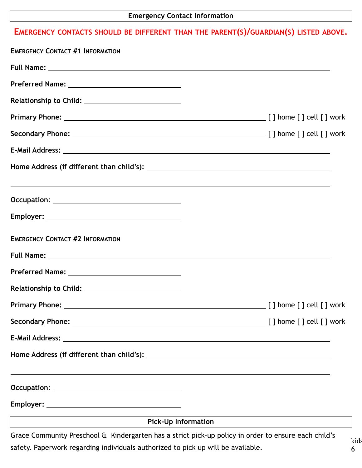## **EMERGENCY CONTACTS SHOULD BE DIFFERENT THAN THE PARENT(S)/GUARDIAN(S) LISTED ABOVE.**

| ,我们也不会有什么。""我们的人,我们也不会有什么?""我们的人,我们也不会有什么?""我们的人,我们也不会有什么?""我们的人,我们也不会有什么?""我们的人                                                                                                                                                                                            |  |
|-----------------------------------------------------------------------------------------------------------------------------------------------------------------------------------------------------------------------------------------------------------------------------|--|
|                                                                                                                                                                                                                                                                             |  |
| <b>EMERGENCY CONTACT #2 INFORMATION</b>                                                                                                                                                                                                                                     |  |
|                                                                                                                                                                                                                                                                             |  |
|                                                                                                                                                                                                                                                                             |  |
|                                                                                                                                                                                                                                                                             |  |
|                                                                                                                                                                                                                                                                             |  |
|                                                                                                                                                                                                                                                                             |  |
|                                                                                                                                                                                                                                                                             |  |
|                                                                                                                                                                                                                                                                             |  |
|                                                                                                                                                                                                                                                                             |  |
|                                                                                                                                                                                                                                                                             |  |
| <u> 1989 - Johann Stein, marwolaethau a bhann an t-Amhair an t-Amhair an t-Amhair an t-Amhair an t-Amhair an t-A</u><br><b>Pick-Up Information</b><br><u> 1989 - Johann Barbara, martin amerikan basar dan berasal dan berasal dalam basar dalam basar dalam basar dala</u> |  |

Grace Community Preschool & Kindergarten has a strict pick-up policy in order to ensure each child's safety. Paperwork regarding individuals authorized to pick up will be available.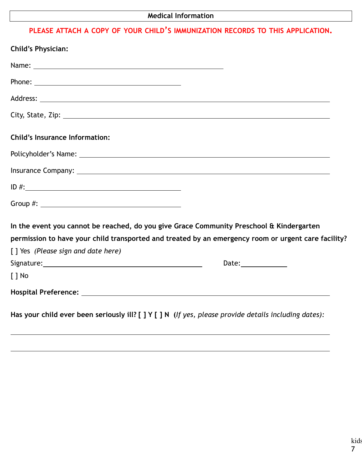## **Medical Information**

## **PLEASE ATTACH A COPY OF YOUR CHILD'S IMMUNIZATION RECORDS TO THIS APPLICATION.**

| <b>Child's Physician:</b>                                                                                                                                                                                                     |                        |
|-------------------------------------------------------------------------------------------------------------------------------------------------------------------------------------------------------------------------------|------------------------|
| Name: Name and the second contract of the second contract of the second contract of the second contract of the second contract of the second contract of the second contract of the second contract of the second contract of |                        |
|                                                                                                                                                                                                                               |                        |
|                                                                                                                                                                                                                               |                        |
|                                                                                                                                                                                                                               |                        |
| <b>Child's Insurance Information:</b>                                                                                                                                                                                         |                        |
|                                                                                                                                                                                                                               |                        |
|                                                                                                                                                                                                                               |                        |
| $ID \#:\_$                                                                                                                                                                                                                    |                        |
|                                                                                                                                                                                                                               |                        |
| In the event you cannot be reached, do you give Grace Community Preschool & Kindergarten                                                                                                                                      |                        |
| permission to have your child transported and treated by an emergency room or urgent care facility?                                                                                                                           |                        |
| [] Yes (Please sign and date here)                                                                                                                                                                                            |                        |
|                                                                                                                                                                                                                               | Date: <b>Example 2</b> |
| $\lceil \, \rceil$ No                                                                                                                                                                                                         |                        |
|                                                                                                                                                                                                                               |                        |
| Has your child ever been seriously ill? [ ] Y [ ] N (If yes, please provide details including dates):                                                                                                                         |                        |

 $\overline{a}$ 

 $\overline{a}$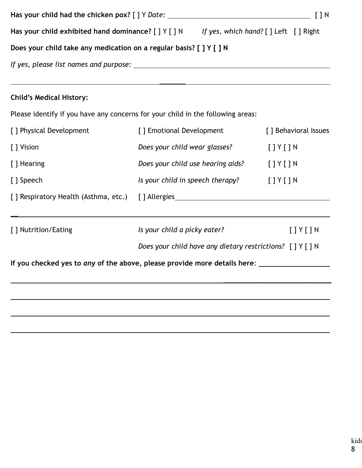| Has your child exhibited hand dominance? [ ] Y [ ] N If yes, which hand? [ ] Left [ ] Right |                                                                                                                  |                         |  |  |  |  |
|---------------------------------------------------------------------------------------------|------------------------------------------------------------------------------------------------------------------|-------------------------|--|--|--|--|
| Does your child take any medication on a regular basis? [ ] Y [ ] N                         |                                                                                                                  |                         |  |  |  |  |
|                                                                                             |                                                                                                                  |                         |  |  |  |  |
|                                                                                             |                                                                                                                  |                         |  |  |  |  |
| <b>Child's Medical History:</b>                                                             |                                                                                                                  |                         |  |  |  |  |
| Please identify if you have any concerns for your child in the following areas:             |                                                                                                                  |                         |  |  |  |  |
| [ ] Physical Development                                                                    | [ ] Emotional Development                                                                                        | [] Behavioral Issues    |  |  |  |  |
| [ ] Vision                                                                                  | Does your child wear glasses?                                                                                    | $[$ $]$ $Y$ $[$ $]$ $N$ |  |  |  |  |
| [ ] Hearing                                                                                 | Does your child use hearing aids?                                                                                | $[$ $]$ $Y$ $[$ $]$ $N$ |  |  |  |  |
| [ ] Speech                                                                                  | Is your child in speech therapy? $[ ] Y [ ] N$                                                                   |                         |  |  |  |  |
| [] Respiratory Health (Asthma, etc.) [] Allergies_______________________________            |                                                                                                                  |                         |  |  |  |  |
| [ ] Nutrition/Eating                                                                        | ,我们也不会有什么。""我们的人,我们也不会有什么?""我们的人,我们也不会有什么?""我们的人,我们也不会有什么?""我们的人,我们也不会有什么?""我们的人<br>Is your child a picky eater? | $[$ $]$ $Y$ $[$ $]$ $N$ |  |  |  |  |
| Does your child have any dietary restrictions? [ ] Y [ ] N                                  |                                                                                                                  |                         |  |  |  |  |
|                                                                                             |                                                                                                                  |                         |  |  |  |  |
|                                                                                             |                                                                                                                  |                         |  |  |  |  |
|                                                                                             |                                                                                                                  |                         |  |  |  |  |
|                                                                                             |                                                                                                                  |                         |  |  |  |  |
|                                                                                             |                                                                                                                  |                         |  |  |  |  |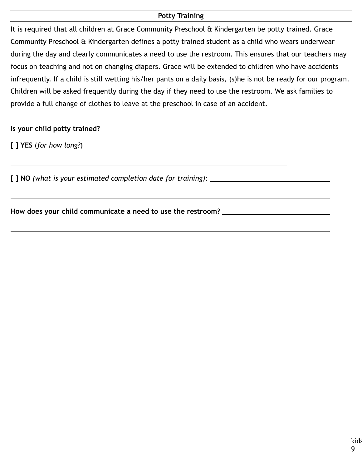#### **Potty Training**

It is required that all children at Grace Community Preschool & Kindergarten be potty trained. Grace Community Preschool & Kindergarten defines a potty trained student as a child who wears underwear during the day and clearly communicates a need to use the restroom. This ensures that our teachers may focus on teaching and not on changing diapers. Grace will be extended to children who have accidents infrequently. If a child is still wetting his/her pants on a daily basis, (s)he is not be ready for our program. Children will be asked frequently during the day if they need to use the restroom. We ask families to provide a full change of clothes to leave at the preschool in case of an accident.

#### **Is your child potty trained?**

**[ ] YES** (*for how long?*)

 $\overline{a}$ 

 $\overline{a}$ 

 $\overline{a}$ 

**[ ] NO** *(what is your estimated completion date for training):* 

**How does your child communicate a need to use the restroom?**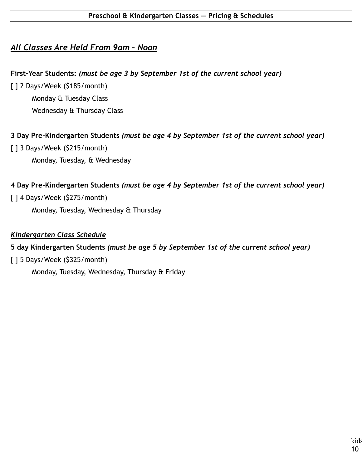## *All Classes Are Held From 9am – Noon*

#### **First-Year Students:** *(must be age 3 by September 1st of the current school year)*

[] 2 Days/Week (\$185/month) Monday & Tuesday Class Wednesday & Thursday Class

### **3 Day Pre-Kindergarten Students** *(must be age 4 by September 1st of the current school year)*

[ ] 3 Days/Week (\$215/month)

Monday, Tuesday, & Wednesday

### **4 Day Pre-Kindergarten Students** *(must be age 4 by September 1st of the current school year)*

### [ ] 4 Days/Week (\$275/month)

Monday, Tuesday, Wednesday & Thursday

#### *Kindergarten Class Schedule*

#### **5 day Kindergarten Students** *(must be age 5 by September 1st of the current school year)*

[ ] 5 Days/Week (\$325/month)

Monday, Tuesday, Wednesday, Thursday & Friday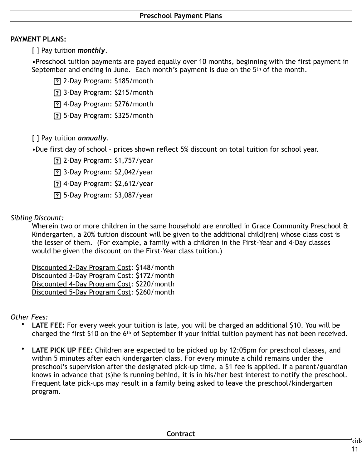#### **PAYMENT PLANS:**

[ ] Pay tuition *monthly*.

•Preschool tuition payments are payed equally over 10 months, beginning with the first payment in September and ending in June. Each month's payment is due on the 5<sup>th</sup> of the month.

2-Day Program: \$185/month

3-Day Program: \$215/month

4-Day Program: \$276/month

5-Day Program: \$325/month

[ ] Pay tuition *annually*.

•Due first day of school – prices shown reflect 5% discount on total tuition for school year.

2-Day Program: \$1,757/year

3-Day Program: \$2,042/year

4-Day Program: \$2,612/year

5-Day Program: \$3,087/year

#### *Sibling Discount:*

Wherein two or more children in the same household are enrolled in Grace Community Preschool & Kindergarten, a 20% tuition discount will be given to the additional child(ren) whose class cost is the lesser of them. (For example, a family with a children in the First-Year and 4-Day classes would be given the discount on the First-Year class tuition.)

Discounted 2-Day Program Cost: \$148/month Discounted 3-Day Program Cost: \$172/month Discounted 4-Day Program Cost: \$220/month Discounted 5-Day Program Cost: \$260/month

*Other Fees:*

- **LATE FEE:** For every week your tuition is late, you will be charged an additional \$10. You will be charged the first \$10 on the 6th of September if your initial tuition payment has not been received.
- **LATE PICK UP FEE:** Children are expected to be picked up by 12:05pm for preschool classes, and within 5 minutes after each kindergarten class. For every minute a child remains under the preschool's supervision after the designated pick-up time, a \$1 fee is applied. If a parent/guardian knows in advance that (s)he is running behind, it is in his/her best interest to notify the preschool. Frequent late pick-ups may result in a family being asked to leave the preschool/kindergarten program.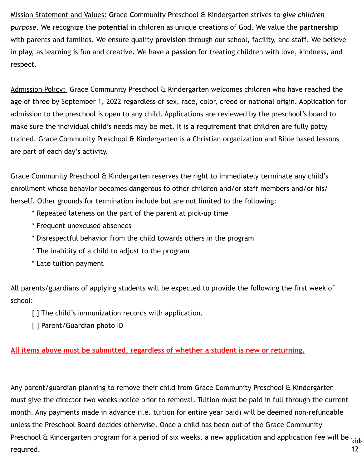Mission Statement and Values: **G**race **C**ommunity **P**reschool & Kindergarten strives to *give children purpose*. We recognize the **potential** in children as unique creations of God. We value the **partnership**  with parents and families. We ensure quality **provision** through our school, facility, and staff. We believe in **play,** as learning is fun and creative. We have a **passion** for treating children with love, kindness, and respect.

Admission Policy: Grace Community Preschool & Kindergarten welcomes children who have reached the age of three by September 1, 2022 regardless of sex, race, color, creed or national origin. Application for admission to the preschool is open to any child. Applications are reviewed by the preschool's board to make sure the individual child's needs may be met. It is a requirement that children are fully potty trained. Grace Community Preschool & Kindergarten is a Christian organization and Bible based lessons are part of each day's activity.

Grace Community Preschool & Kindergarten reserves the right to immediately terminate any child's enrollment whose behavior becomes dangerous to other children and/or staff members and/or his/ herself. Other grounds for termination include but are not limited to the following:

- \* Repeated lateness on the part of the parent at pick-up time
- \* Frequent unexcused absences
- \* Disrespectful behavior from the child towards others in the program
- \* The inability of a child to adjust to the program
- \* Late tuition payment

All parents/guardians of applying students will be expected to provide the following the first week of school:

- [] The child's immunization records with application.
- [ ] Parent/Guardian photo ID

#### **All items above must be submitted, regardless of whether a student is new or returning.**

Preschool & Kindergarten program for a period of six weeks, a new application and application fee will be  $_{\rm kids}$ 12 Any parent/guardian planning to remove their child from Grace Community Preschool & Kindergarten must give the director two weeks notice prior to removal. Tuition must be paid in full through the current month. Any payments made in advance (i.e. tuition for entire year paid) will be deemed non-refundable unless the Preschool Board decides otherwise. Once a child has been out of the Grace Community required.